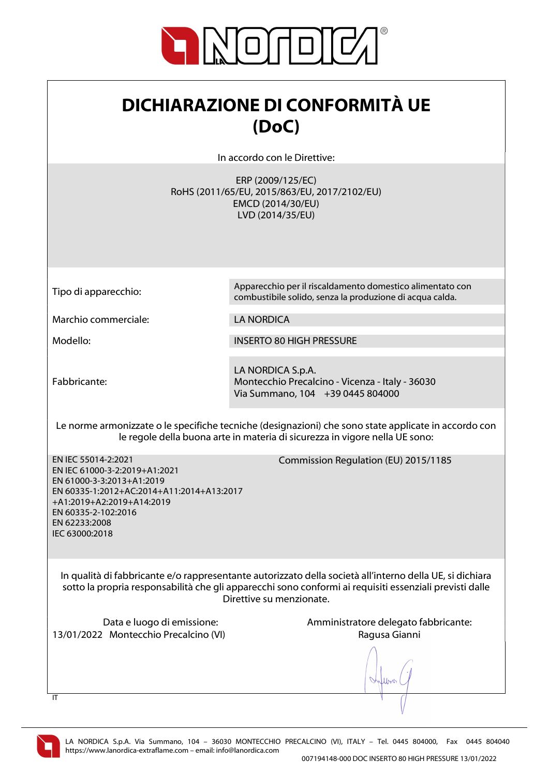

## DICHIARAZIONE DI CONFORMITÀ UE (DoC)

In accordo con le Direttive:

ERP (2009/125/EC) RoHS (2011/65/EU, 2015/863/EU, 2017/2102/EU) EMCD (2014/30/EU) LVD (2014/35/EU)

Tipo di apparecchio: Apparecchio per il riscaldamento domestico alimentato con combustibile solido, senza la produzione di acqua calda.

Marchio commerciale: LA NORDICA

Modello: INSERTO 80 HIGH PRESSURE

Fabbricante:

LA NORDICA S.p.A. Montecchio Precalcino - Vicenza - Italy - 36030 Via Summano, 104 +39 0445 804000

Le norme armonizzate o le specifiche tecniche (designazioni) che sono state applicate in accordo con le regole della buona arte in materia di sicurezza in vigore nella UE sono:

EN IEC 55014-2:2021 EN IEC 61000-3-2:2019+A1:2021 EN 61000-3-3:2013+A1:2019 EN 60335-1:2012+AC:2014+A11:2014+A13:2017 +A1:2019+A2:2019+A14:2019 EN 60335-2-102:2016 EN 62233:2008 IEC 63000:2018

Commission Regulation (EU) 2015/1185

In qualità di fabbricante e/o rappresentante autorizzato della società all'interno della UE, si dichiara sotto la propria responsabilità che gli apparecchi sono conformi ai requisiti essenziali previsti dalle Direttive su menzionate.

13/01/2022 Montecchio Precalcino (VI) Ragusa Gianni

Data e luogo di emissione: Amministratore delegato fabbricante:



 $\overline{\mathsf{I}}$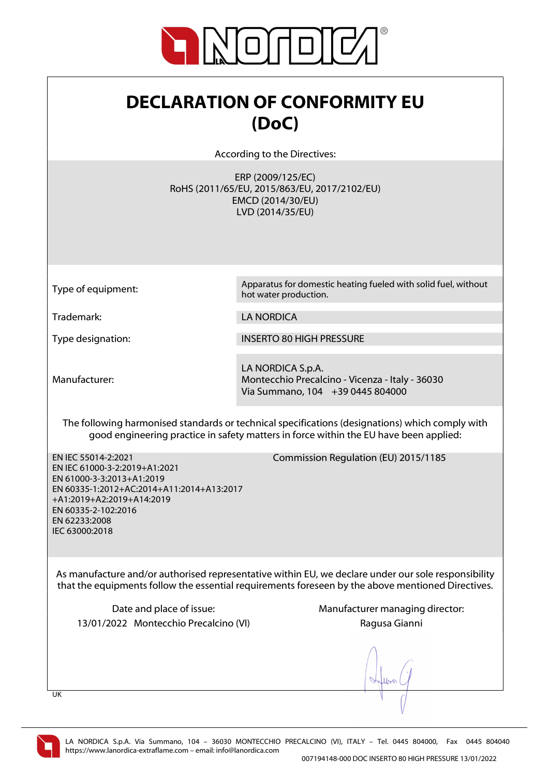

## DECLARATION OF CONFORMITY EU (DoC)

According to the Directives:

ERP (2009/125/EC) RoHS (2011/65/EU, 2015/863/EU, 2017/2102/EU) EMCD (2014/30/EU) LVD (2014/35/EU)

Type of equipment: Apparatus for domestic heating fueled with solid fuel, without hot water production.

Trademark: LA NORDICA

Type designation: INSERTO 80 HIGH PRESSURE

Manufacturer:

LA NORDICA S.p.A. Montecchio Precalcino - Vicenza - Italy - 36030 Via Summano, 104 +39 0445 804000

The following harmonised standards or technical specifications (designations) which comply with good engineering practice in safety matters in force within the EU have been applied:

EN IEC 55014-2:2021 EN IEC 61000-3-2:2019+A1:2021 EN 61000-3-3:2013+A1:2019 EN 60335-1:2012+AC:2014+A11:2014+A13:2017 +A1:2019+A2:2019+A14:2019 EN 60335-2-102:2016 EN 62233:2008 IEC 63000:2018

Commission Regulation (EU) 2015/1185

As manufacture and/or authorised representative within EU, we declare under our sole responsibility that the equipments follow the essential requirements foreseen by the above mentioned Directives.

13/01/2022 Montecchio Precalcino (VI) Ragusa Gianni

Date and place of issue: Manufacturer managing director:

UK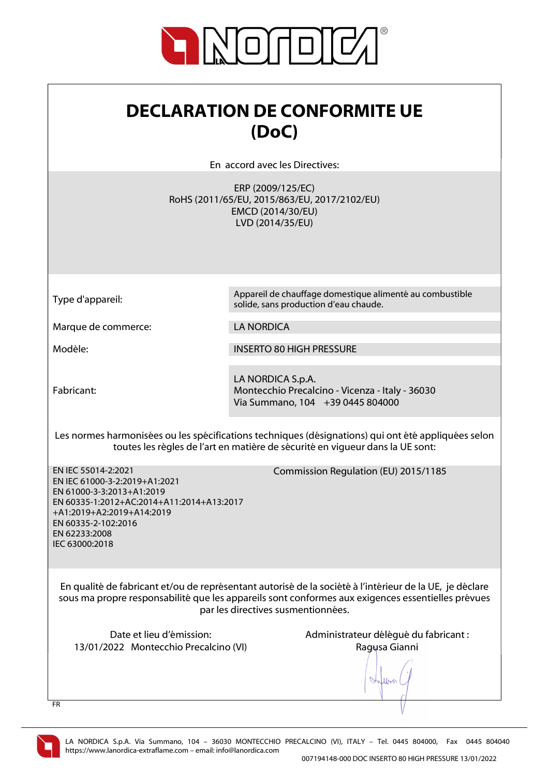

| <b>DECLARATION DE CONFORMITE UE</b> |  |
|-------------------------------------|--|
| (DoC)                               |  |

En accord avec les Directives:

ERP (2009/125/EC) RoHS (2011/65/EU, 2015/863/EU, 2017/2102/EU) EMCD (2014/30/EU) LVD (2014/35/EU)

Type d'appareil: Appareil de chauffage domestique alimenté au combustible solide, sans production d'eau chaude.

Marque de commerce: LA NORDICA

Modèle: INSERTO 80 HIGH PRESSURE

Fabricant:

LA NORDICA S.p.A. Montecchio Precalcino - Vicenza - Italy - 36030 Via Summano, 104 +39 0445 804000

Les normes harmonisées ou les spécifications techniques (désignations) qui ont été appliquées selon toutes les règles de l'art en matière de sécurité en vigueur dans la UE sont:

Commission Regulation (EU) 2015/1185

EN IEC 55014-2:2021 EN IEC 61000-3-2:2019+A1:2021 EN 61000-3-3:2013+A1:2019 EN 60335-1:2012+AC:2014+A11:2014+A13:2017 +A1:2019+A2:2019+A14:2019 EN 60335-2-102:2016 EN 62233:2008 IEC 63000:2018

En qualité de fabricant et/ou de représentant autorisé de la société à l'intérieur de la UE, je déclare sous ma propre responsabilité que les appareils sont conformes aux exigences essentielles prévues

par les directives susmentionnées.

13/01/2022 Montecchio Precalcino (VI) Ragusa Gianni

Date et lieu d'émission: Administrateur délégué du fabricant :

When

FR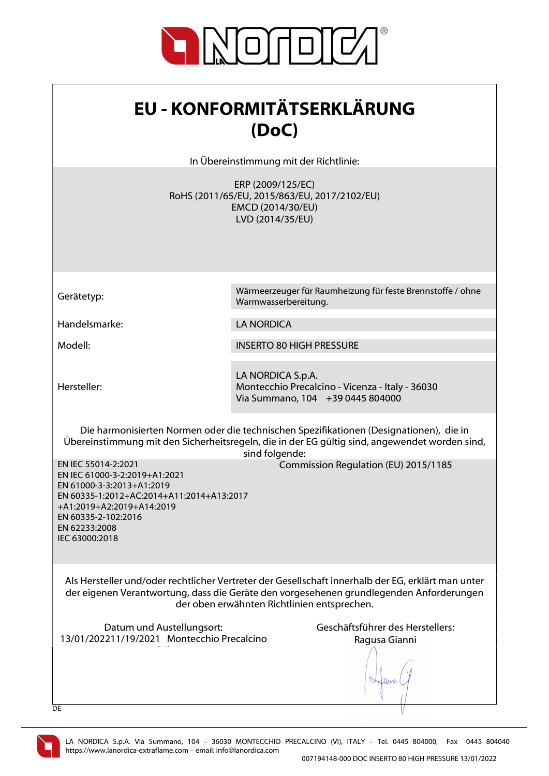

| <b>EU - KONFORMITÄTSERKLÄRUNG</b> |  |
|-----------------------------------|--|
| (DoC)                             |  |

In Übereinstimmung mit der Richtlinie:

ERP (2009/125/EC) RoHS (2011/65/EU, 2015/863/EU, 2017/2102/EU) EMCD (2014/30/EU) LVD (2014/35/EU)

Handelsmarke: LA NORDICA

Hersteller:

Gerätetyp: Wärmeerzeuger für Raumheizung für feste Brennstoffe / ohne Warmwasserbereitung.

Modell: INSERTO 80 HIGH PRESSURE

LA NORDICA S.p.A. Montecchio Precalcino - Vicenza - Italy - 36030 Via Summano, 104 +39 0445 804000

Die harmonisierten Normen oder die technischen Spezifikationen (Designationen), die in Übereinstimmung mit den Sicherheitsregeln, die in der EG gültig sind, angewendet worden sind, sind folgende:

Commission Regulation (EU) 2015/1185

EN IEC 55014-2:2021 EN IEC 61000-3-2:2019+A1:2021 EN 61000-3-3:2013+A1:2019 EN 60335-1:2012+AC:2014+A11:2014+A13:2017 +A1:2019+A2:2019+A14:2019 EN 60335-2-102:2016 EN 62233:2008 IEC 63000:2018

Als Hersteller und/oder rechtlicher Vertreter der Gesellschaft innerhalb der EG, erklärt man unter der eigenen Verantwortung, dass die Geräte den vorgesehenen grundlegenden Anforderungen der oben erwähnten Richtlinien entsprechen.

Datum und Austellungsort: Geschäftsführer des Herstellers: 13/01/202211/19/2021 Montecchio Precalcino  $\mathcal{N}(\mathcal{N})$ 

Ragusa Gianni

lloo

**DE** 

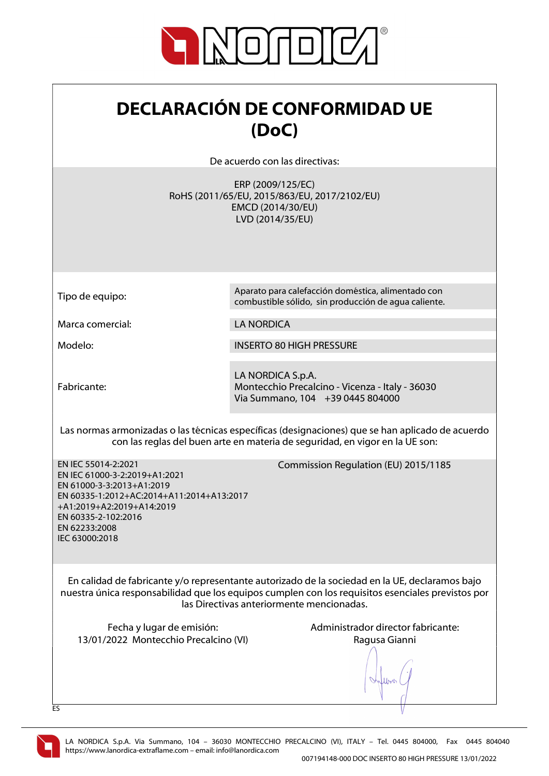

| <b>DECLARACIÓN DE CONFORMIDAD UE</b> |
|--------------------------------------|
| (DoC)                                |

De acuerdo con las directivas:

ERP (2009/125/EC) RoHS (2011/65/EU, 2015/863/EU, 2017/2102/EU) EMCD (2014/30/EU) LVD (2014/35/EU)

Marca comercial: LA NORDICA

Fabricante:

Tipo de equipo: Aparato para calefacción doméstica, alimentado con combustible sólido, sin producción de agua caliente.

Modelo: INSERTO 80 HIGH PRESSURE

LA NORDICA S.p.A. Montecchio Precalcino - Vicenza - Italy - 36030 Via Summano, 104 +39 0445 804000

Las normas armonizadas o las técnicas específicas (designaciones) que se han aplicado de acuerdo con las reglas del buen arte en materia de seguridad, en vigor en la UE son:

Commission Regulation (EU) 2015/1185

EN IEC 55014-2:2021 EN IEC 61000-3-2:2019+A1:2021 EN 61000-3-3:2013+A1:2019 EN 60335-1:2012+AC:2014+A11:2014+A13:2017 +A1:2019+A2:2019+A14:2019 EN 60335-2-102:2016 EN 62233:2008 IEC 63000:2018

En calidad de fabricante y/o representante autorizado de la sociedad en la UE, declaramos bajo nuestra única responsabilidad que los equipos cumplen con los requisitos esenciales previstos por las Directivas anteriormente mencionadas.

13/01/2022 Montecchio Precalcino (VI) Ragusa Gianni

Fecha y lugar de emisión:  $\blacksquare$  Administrador director fabricante:

lloo

ES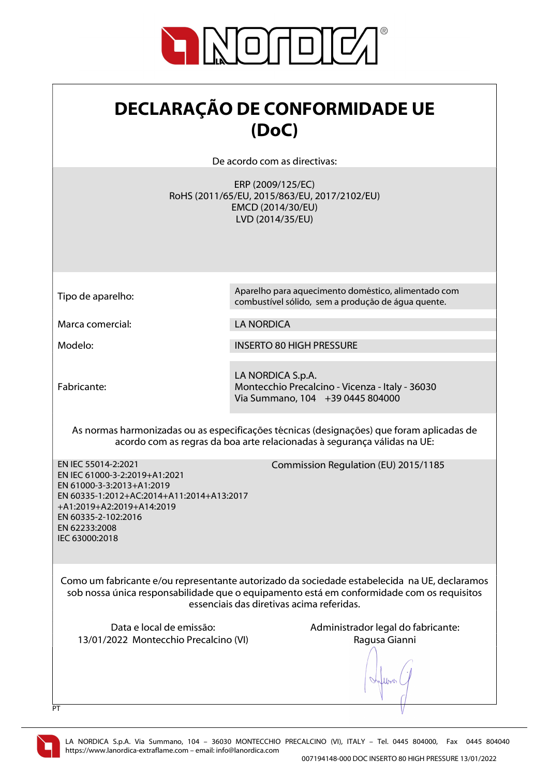

## DECLARAÇÃO DE CONFORMIDADE UE (DoC)

De acordo com as directivas:

ERP (2009/125/EC) RoHS (2011/65/EU, 2015/863/EU, 2017/2102/EU) EMCD (2014/30/EU) LVD (2014/35/EU)

Marca comercial: LA NORDICA

Fabricante:

Tipo de aparelho: Aparelho para aquecimento doméstico, alimentado com combustível sólido, sem a produção de água quente.

Modelo: INSERTO 80 HIGH PRESSURE

LA NORDICA S.p.A. Montecchio Precalcino - Vicenza - Italy - 36030 Via Summano, 104 +39 0445 804000

As normas harmonizadas ou as especificações técnicas (designações) que foram aplicadas de acordo com as regras da boa arte relacionadas à segurança válidas na UE:

Commission Regulation (EU) 2015/1185

EN IEC 55014-2:2021 EN IEC 61000-3-2:2019+A1:2021 EN 61000-3-3:2013+A1:2019 EN 60335-1:2012+AC:2014+A11:2014+A13:2017 +A1:2019+A2:2019+A14:2019 EN 60335-2-102:2016 EN 62233:2008 IEC 63000:2018

Como um fabricante e/ou representante autorizado da sociedade estabelecida na UE, declaramos sob nossa única responsabilidade que o equipamento está em conformidade com os requisitos essenciais das diretivas acima referidas.

13/01/2022 Montecchio Precalcino (VI) Ragusa Gianni

Data e local de emissão:  $\blacksquare$  Administrador legal do fabricante:

lloo



 $\overline{P}$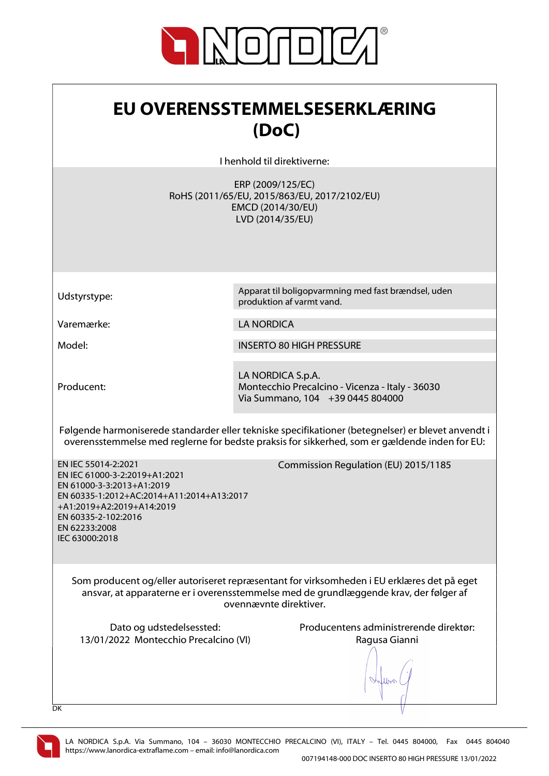

| EU OVERENSSTEMMELSESERKLÆRING |  |
|-------------------------------|--|
| (DoC)                         |  |

I henhold til direktiverne:

ERP (2009/125/EC) RoHS (2011/65/EU, 2015/863/EU, 2017/2102/EU) EMCD (2014/30/EU) LVD (2014/35/EU)

Udstyrstype: Apparat til boligopvarmning med fast brændsel, uden

Varemærke: LA NORDICA

Model: INSERTO 80 HIGH PRESSURE

produktion af varmt vand.

Producent:

LA NORDICA S.p.A. Montecchio Precalcino - Vicenza - Italy - 36030 Via Summano, 104 +39 0445 804000

Følgende harmoniserede standarder eller tekniske specifikationer (betegnelser) er blevet anvendt i overensstemmelse med reglerne for bedste praksis for sikkerhed, som er gældende inden for EU:

EN IEC 55014-2:2021 EN IEC 61000-3-2:2019+A1:2021 EN 61000-3-3:2013+A1:2019 EN 60335-1:2012+AC:2014+A11:2014+A13:2017 +A1:2019+A2:2019+A14:2019 EN 60335-2-102:2016 EN 62233:2008 IEC 63000:2018

Commission Regulation (EU) 2015/1185

Som producent og/eller autoriseret repræsentant for virksomheden i EU erklæres det på eget ansvar, at apparaterne er i overensstemmelse med de grundlæggende krav, der følger af ovennævnte direktiver.

13/01/2022 Montecchio Precalcino (VI) Ragusa Gianni

Dato og udstedelsessted: Producentens administrerende direktør:

lloo

DK

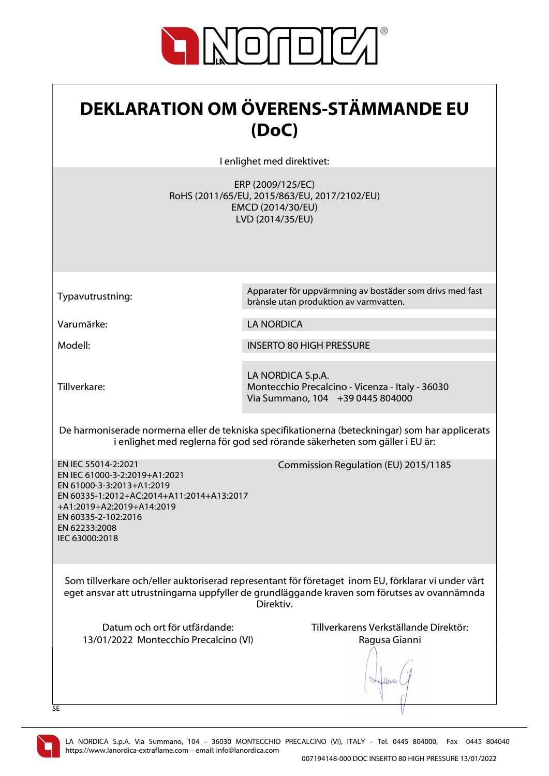

| <b>DEKLARATION OM ÖVERENS-STÄMMANDE EU</b><br>(DoC)                                                                                                                                                                   |                                                                                                            |
|-----------------------------------------------------------------------------------------------------------------------------------------------------------------------------------------------------------------------|------------------------------------------------------------------------------------------------------------|
|                                                                                                                                                                                                                       | I enlighet med direktivet:                                                                                 |
|                                                                                                                                                                                                                       | ERP (2009/125/EC)<br>RoHS (2011/65/EU, 2015/863/EU, 2017/2102/EU)<br>EMCD (2014/30/EU)<br>LVD (2014/35/EU) |
| Typavutrustning:                                                                                                                                                                                                      | Apparater för uppvärmning av bostäder som drivs med fast<br>brànsle utan produktion av varmvatten.         |
| Varumärke:                                                                                                                                                                                                            | <b>LA NORDICA</b>                                                                                          |
| Modell:                                                                                                                                                                                                               | <b>INSERTO 80 HIGH PRESSURE</b>                                                                            |
| Tillverkare:                                                                                                                                                                                                          | LA NORDICA S.p.A.<br>Montecchio Precalcino - Vicenza - Italy - 36030<br>Via Summano, 104 +39 0445 804000   |
| De harmoniserade normerna eller de tekniska specifikationerna (beteckningar) som har applicerats<br>i enlighet med reglerna för god sed rörande säkerheten som gäller i EU är:                                        |                                                                                                            |
| EN IEC 55014-2:2021<br>EN IEC 61000-3-2:2019+A1:2021<br>EN 61000-3-3:2013+A1:2019<br>EN 60335-1:2012+AC:2014+A11:2014+A13:2017<br>+A1:2019+A2:2019+A14:2019<br>EN 60335-2-102:2016<br>EN 62233:2008<br>IEC 63000:2018 | Commission Regulation (EU) 2015/1185                                                                       |
| Som tillverkare och/eller auktoriserad representant för företaget inom EU, förklarar vi under vårt<br>eget ansvar att utrustningarna uppfyller de grundläggande kraven som förutses av ovannämnda<br>Direktiv.        |                                                                                                            |
| Datum och ort för utfärdande:<br>13/01/2022 Montecchio Precalcino (VI)<br>SE                                                                                                                                          | Tillverkarens Verkställande Direktör:<br>Ragusa Gianni                                                     |

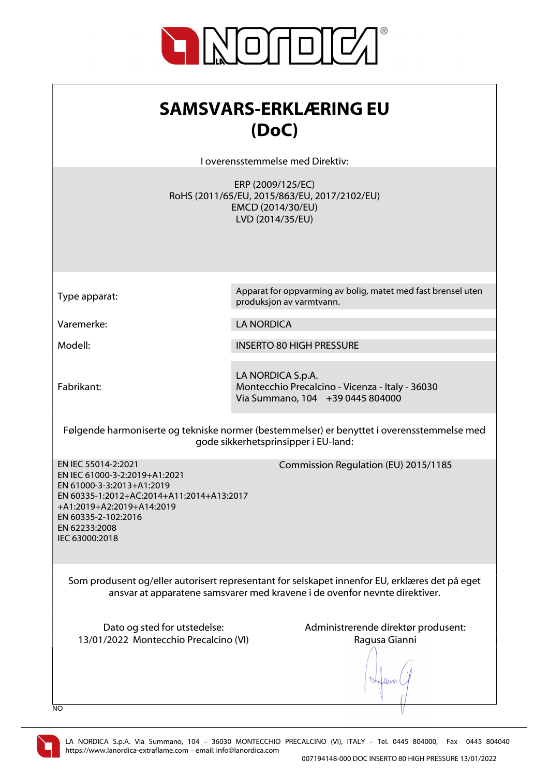

| <b>SAMSVARS-ERKLÆRING EU</b><br>(DoC)<br>I overensstemmelse med Direktiv:                                                                                                                                                                                     |                                                                                                            |
|---------------------------------------------------------------------------------------------------------------------------------------------------------------------------------------------------------------------------------------------------------------|------------------------------------------------------------------------------------------------------------|
|                                                                                                                                                                                                                                                               | ERP (2009/125/EC)<br>RoHS (2011/65/EU, 2015/863/EU, 2017/2102/EU)<br>EMCD (2014/30/EU)<br>LVD (2014/35/EU) |
| Type apparat:                                                                                                                                                                                                                                                 | Apparat for oppvarming av bolig, matet med fast brensel uten<br>produksjon av varmtvann.                   |
| Varemerke:                                                                                                                                                                                                                                                    | <b>LA NORDICA</b>                                                                                          |
| Modell:                                                                                                                                                                                                                                                       | <b>INSERTO 80 HIGH PRESSURE</b>                                                                            |
| Fabrikant:                                                                                                                                                                                                                                                    | LA NORDICA S.p.A.<br>Montecchio Precalcino - Vicenza - Italy - 36030<br>Via Summano, 104 +39 0445 804000   |
| Følgende harmoniserte og tekniske normer (bestemmelser) er benyttet i overensstemmelse med<br>gode sikkerhetsprinsipper i EU-land:                                                                                                                            |                                                                                                            |
| EN IEC 55014-2:2021<br>Commission Regulation (EU) 2015/1185<br>EN IEC 61000-3-2:2019+A1:2021<br>EN 61000-3-3:2013+A1:2019<br>EN 60335-1:2012+AC:2014+A11:2014+A13:2017<br>+A1:2019+A2:2019+A14:2019<br>EN 60335-2-102:2016<br>EN 62233:2008<br>IEC 63000:2018 |                                                                                                            |
| Som produsent og/eller autorisert representant for selskapet innenfor EU, erklæres det på eget<br>ansvar at apparatene samsvarer med kravene i de ovenfor nevnte direktiver.                                                                                  |                                                                                                            |
| Dato og sted for utstedelse:<br>13/01/2022 Montecchio Precalcino (VI)<br>NO                                                                                                                                                                                   | Administrerende direktør produsent:<br>Ragusa Gianni                                                       |

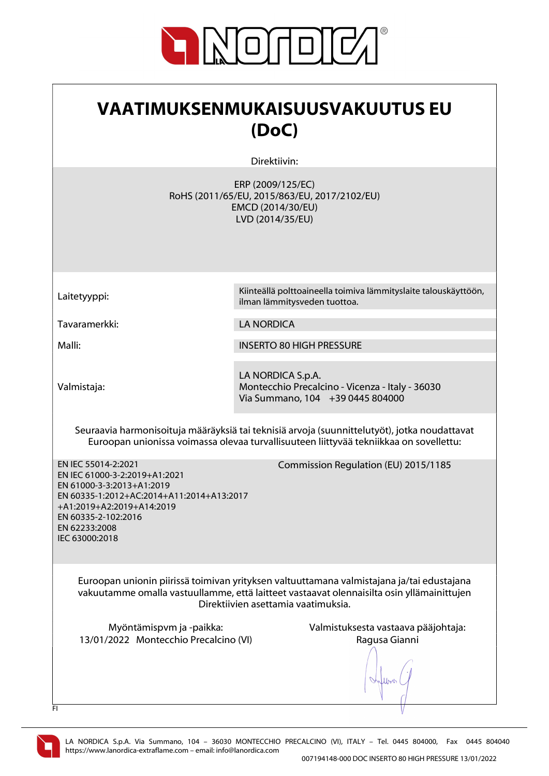

| VAATIMUKSENMUKAISUUSVAKUUTUS EU<br>(DoC)                                                                                                                                                                                                                      |                                                                                                                                                                                        |
|---------------------------------------------------------------------------------------------------------------------------------------------------------------------------------------------------------------------------------------------------------------|----------------------------------------------------------------------------------------------------------------------------------------------------------------------------------------|
|                                                                                                                                                                                                                                                               | Direktiivin:                                                                                                                                                                           |
|                                                                                                                                                                                                                                                               | ERP (2009/125/EC)<br>RoHS (2011/65/EU, 2015/863/EU, 2017/2102/EU)<br>EMCD (2014/30/EU)<br>LVD (2014/35/EU)                                                                             |
| Laitetyyppi:                                                                                                                                                                                                                                                  | Kiinteällä polttoaineella toimiva lämmityslaite talouskäyttöön,<br>ilman lämmitysveden tuottoa.                                                                                        |
| Tavaramerkki:                                                                                                                                                                                                                                                 | <b>LA NORDICA</b>                                                                                                                                                                      |
| Malli:                                                                                                                                                                                                                                                        | <b>INSERTO 80 HIGH PRESSURE</b>                                                                                                                                                        |
| Valmistaja:                                                                                                                                                                                                                                                   | LA NORDICA S.p.A.<br>Montecchio Precalcino - Vicenza - Italy - 36030<br>Via Summano, 104 +39 0445 804000                                                                               |
|                                                                                                                                                                                                                                                               | Seuraavia harmonisoituja määräyksiä tai teknisiä arvoja (suunnittelutyöt), jotka noudattavat<br>Euroopan unionissa voimassa olevaa turvallisuuteen liittyvää tekniikkaa on sovellettu: |
| EN IEC 55014-2:2021<br>Commission Regulation (EU) 2015/1185<br>EN IEC 61000-3-2:2019+A1:2021<br>EN 61000-3-3:2013+A1:2019<br>EN 60335-1:2012+AC:2014+A11:2014+A13:2017<br>+A1:2019+A2:2019+A14:2019<br>EN 60335-2-102:2016<br>EN 62233:2008<br>IEC 63000:2018 |                                                                                                                                                                                        |
| Euroopan unionin piirissä toimivan yrityksen valtuuttamana valmistajana ja/tai edustajana<br>vakuutamme omalla vastuullamme, että laitteet vastaavat olennaisilta osin yllämainittujen<br>Direktiivien asettamia vaatimuksia.                                 |                                                                                                                                                                                        |
| Myöntämispvm ja -paikka:<br>13/01/2022 Montecchio Precalcino (VI)<br>FI                                                                                                                                                                                       | Valmistuksesta vastaava pääjohtaja:<br>Ragusa Gianni                                                                                                                                   |

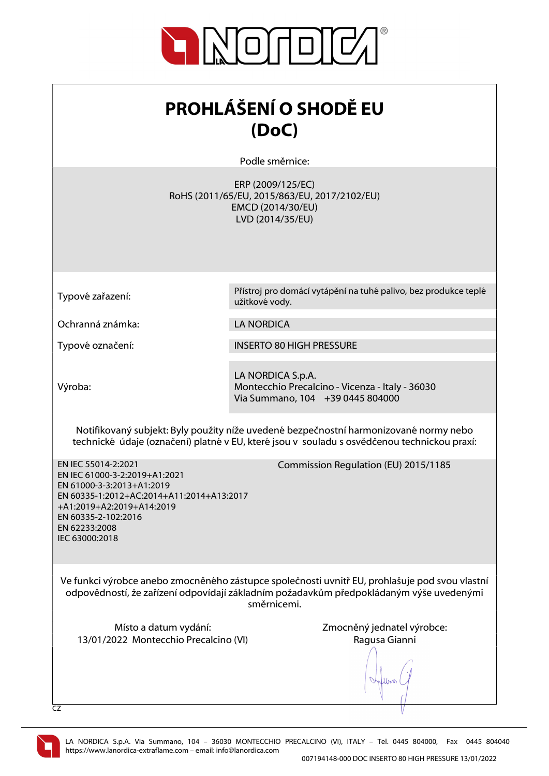

| <b>PROHLÁŠENÍ O SHODĚ EU</b><br>(DoC)                                                                                                                                                                                 |                                                                                                            |
|-----------------------------------------------------------------------------------------------------------------------------------------------------------------------------------------------------------------------|------------------------------------------------------------------------------------------------------------|
|                                                                                                                                                                                                                       | Podle směrnice:                                                                                            |
|                                                                                                                                                                                                                       | ERP (2009/125/EC)<br>RoHS (2011/65/EU, 2015/863/EU, 2017/2102/EU)<br>EMCD (2014/30/EU)<br>LVD (2014/35/EU) |
| Typové zařazení:                                                                                                                                                                                                      | Přístroj pro domácí vytápění na tuhé palivo, bez produkce teplé<br>užitkové vody.                          |
| Ochranná známka:                                                                                                                                                                                                      | <b>LA NORDICA</b>                                                                                          |
| Typové označení:                                                                                                                                                                                                      | <b>INSERTO 80 HIGH PRESSURE</b>                                                                            |
| Výroba:                                                                                                                                                                                                               | LA NORDICA S.p.A.<br>Montecchio Precalcino - Vicenza - Italy - 36030<br>Via Summano, 104 +39 0445 804000   |
| Notifikovaný subjekt: Byly použity níže uvedené bezpečnostní harmonizované normy nebo<br>technické údaje (označení) platné v EU, které jsou v souladu s osvědčenou technickou praxí:                                  |                                                                                                            |
| EN IEC 55014-2:2021<br>EN IEC 61000-3-2:2019+A1:2021<br>EN 61000-3-3:2013+A1:2019<br>EN 60335-1:2012+AC:2014+A11:2014+A13:2017<br>+A1:2019+A2:2019+A14:2019<br>EN 60335-2-102:2016<br>EN 62233:2008<br>IEC 63000:2018 | Commission Regulation (EU) 2015/1185                                                                       |
| Ve funkci výrobce anebo zmocněného zástupce společnosti uvnitř EU, prohlašuje pod svou vlastní<br>odpovědností, že zařízení odpovídají základním požadavkům předpokládaným výše uvedenými<br>směrnicemi.              |                                                                                                            |
| Místo a datum vydání:<br>13/01/2022 Montecchio Precalcino (VI)<br><b>CZ</b>                                                                                                                                           | Zmocněný jednatel výrobce:<br>Ragusa Gianni                                                                |

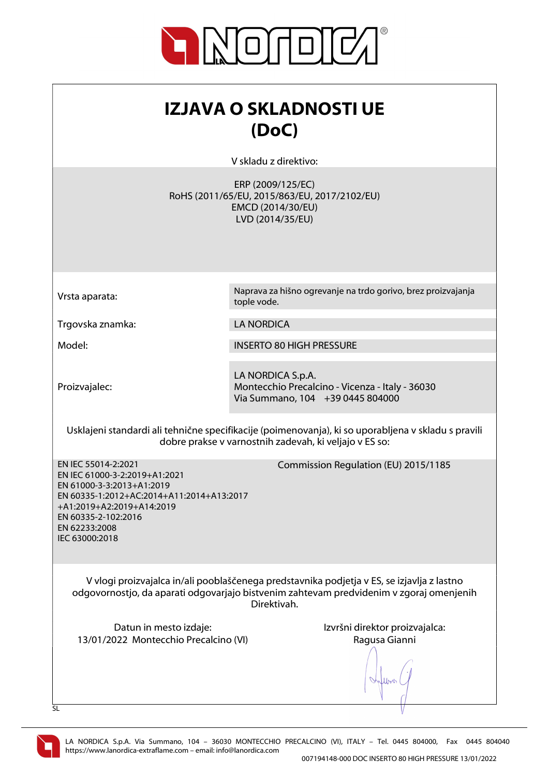

| IZJAVA O SKLADNOSTI UE<br>(DoC)                                                                                                                                                                                       |                                                                                                            |
|-----------------------------------------------------------------------------------------------------------------------------------------------------------------------------------------------------------------------|------------------------------------------------------------------------------------------------------------|
|                                                                                                                                                                                                                       |                                                                                                            |
|                                                                                                                                                                                                                       | V skladu z direktivo:                                                                                      |
|                                                                                                                                                                                                                       | ERP (2009/125/EC)<br>RoHS (2011/65/EU, 2015/863/EU, 2017/2102/EU)<br>EMCD (2014/30/EU)<br>LVD (2014/35/EU) |
|                                                                                                                                                                                                                       |                                                                                                            |
| Vrsta aparata:                                                                                                                                                                                                        | Naprava za hišno ogrevanje na trdo gorivo, brez proizvajanja<br>tople vode.                                |
| Trgovska znamka:                                                                                                                                                                                                      | <b>LA NORDICA</b>                                                                                          |
| Model:                                                                                                                                                                                                                | <b>INSERTO 80 HIGH PRESSURE</b>                                                                            |
| Proizvajalec:                                                                                                                                                                                                         | LA NORDICA S.p.A.<br>Montecchio Precalcino - Vicenza - Italy - 36030<br>Via Summano, 104 +39 0445 804000   |
| Usklajeni standardi ali tehnične specifikacije (poimenovanja), ki so uporabljena v skladu s pravili<br>dobre prakse v varnostnih zadevah, ki veljajo v ES so:                                                         |                                                                                                            |
| EN IEC 55014-2:2021<br>EN IEC 61000-3-2:2019+A1:2021<br>EN 61000-3-3:2013+A1:2019<br>EN 60335-1:2012+AC:2014+A11:2014+A13:2017<br>+A1:2019+A2:2019+A14:2019<br>EN 60335-2-102:2016<br>EN 62233:2008<br>IEC 63000:2018 | Commission Regulation (EU) 2015/1185                                                                       |
| V vlogi proizvajalca in/ali pooblaščenega predstavnika podjetja v ES, se izjavlja z lastno<br>odgovornostjo, da aparati odgovarjajo bistvenim zahtevam predvidenim v zgoraj omenjenih<br>Direktivah.                  |                                                                                                            |
| Datun in mesto izdaje:<br>13/01/2022 Montecchio Precalcino (VI)                                                                                                                                                       | Izvršni direktor proizvajalca:<br>Ragusa Gianni                                                            |
| SL                                                                                                                                                                                                                    |                                                                                                            |

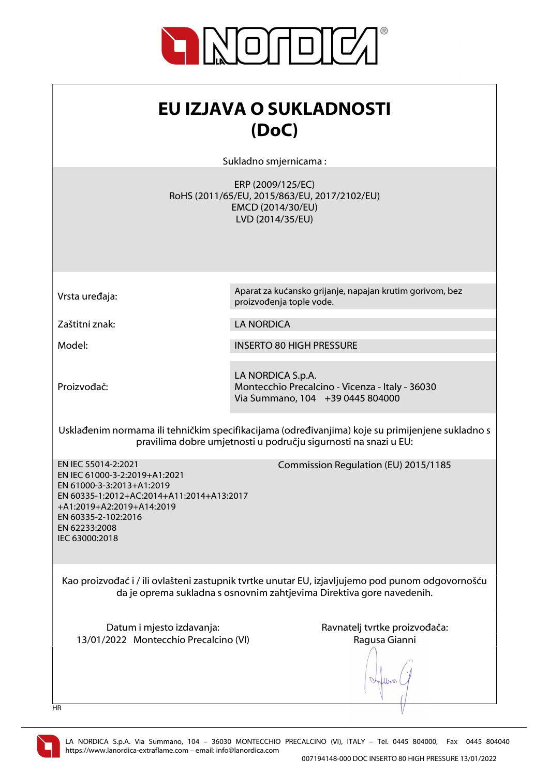

| EU IZJAVA O SUKLADNOSTI<br>(DoC)<br>Sukladno smjernicama:                                                                                                                                                             |                                                                                                            |
|-----------------------------------------------------------------------------------------------------------------------------------------------------------------------------------------------------------------------|------------------------------------------------------------------------------------------------------------|
|                                                                                                                                                                                                                       | ERP (2009/125/EC)<br>RoHS (2011/65/EU, 2015/863/EU, 2017/2102/EU)<br>EMCD (2014/30/EU)<br>LVD (2014/35/EU) |
| Vrsta uređaja:                                                                                                                                                                                                        | Aparat za kućansko grijanje, napajan krutim gorivom, bez<br>proizvođenja tople vode.                       |
| Zaštitni znak:                                                                                                                                                                                                        | <b>LA NORDICA</b>                                                                                          |
| Model:                                                                                                                                                                                                                | <b>INSERTO 80 HIGH PRESSURE</b>                                                                            |
| Proizvođač:                                                                                                                                                                                                           | LA NORDICA S.p.A.<br>Montecchio Precalcino - Vicenza - Italy - 36030<br>Via Summano, 104 +39 0445 804000   |
| Usklađenim normama ili tehničkim specifikacijama (određivanjima) koje su primijenjene sukladno s<br>pravilima dobre umjetnosti u području sigurnosti na snazi u EU:                                                   |                                                                                                            |
| EN IEC 55014-2:2021<br>EN IEC 61000-3-2:2019+A1:2021<br>EN 61000-3-3:2013+A1:2019<br>EN 60335-1:2012+AC:2014+A11:2014+A13:2017<br>+A1:2019+A2:2019+A14:2019<br>EN 60335-2-102:2016<br>EN 62233:2008<br>IEC 63000:2018 | Commission Regulation (EU) 2015/1185                                                                       |
| Kao proizvođač i / ili ovlašteni zastupnik tvrtke unutar EU, izjavljujemo pod punom odgovornošću<br>da je oprema sukladna s osnovnim zahtjevima Direktiva gore navedenih.                                             |                                                                                                            |
| Datum i mjesto izdavanja:<br>13/01/2022 Montecchio Precalcino (VI)<br>HR                                                                                                                                              | Ravnatelj tvrtke proizvođača:<br>Ragusa Gianni                                                             |

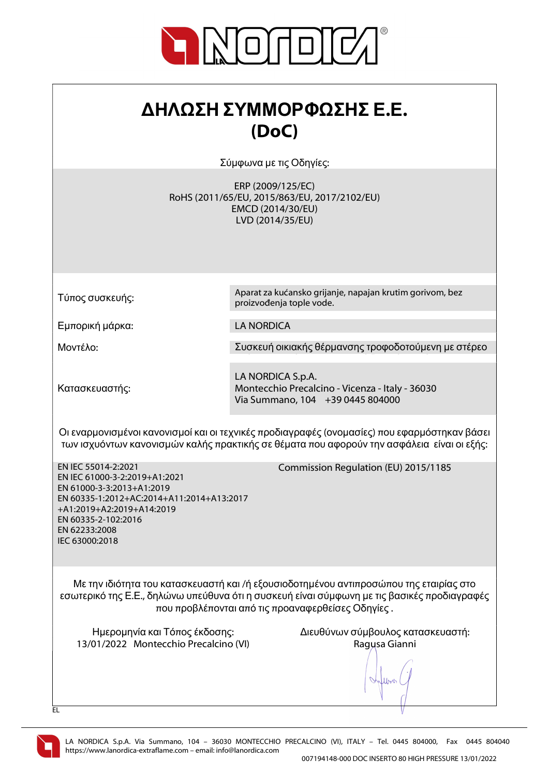

| ΔΗΛΩΣΗ ΣΥΜΜΟΡΦΩΣΗΣ Ε.Ε. |  |
|-------------------------|--|
| (DoC)                   |  |

Σύμφωνα με τις Οδηγίες:

ERP (2009/125/EC) RoHS (2011/65/EU, 2015/863/EU, 2017/2102/EU) EMCD (2014/30/EU) LVD (2014/35/EU)

proizvođenja tople vode.

Τύπος συσκευής:

Εμπορική μάρκα: LA NORDICA

Μοντέλο: Συσκευή οικιακής θέρμανσης τροφοδοτούμενη με στέρεο

Aparat za kućansko grijanje, napajan krutim gorivom, bez

Κατασκευαστής:

LA NORDICA S.p.A. Montecchio Precalcino - Vicenza - Italy - 36030 Via Summano, 104 +39 0445 804000

Οι εναρμονισμένοι κανονισμοί και οι τεχνικές προδιαγραφές (ονομασίες) που εφαρμόστηκαν βάσει των ισχυόντων κανονισμών καλής πρακτικής σε θέματα που αφορούν την ασφάλεια είναι οι εξής:

EN IEC 55014-2:2021 EN IEC 61000-3-2:2019+A1:2021 EN 61000-3-3:2013+A1:2019 EN 60335-1:2012+AC:2014+A11:2014+A13:2017 +A1:2019+A2:2019+A14:2019 EN 60335-2-102:2016 EN 62233:2008 IEC 63000:2018

Commission Regulation (EU) 2015/1185

Με την ιδιότητα του κατασκευαστή και /ή εξουσιοδοτημένου αντιπροσώπου της εταιρίας στο εσωτερικό της Ε.Ε., δηλώνω υπεύθυνα ότι η συσκευή είναι σύμφωνη με τις βασικές προδιαγραφές που προβλέπονται από τις προαναφερθείσες Οδηγίες .

13/01/2022 Montecchio Precalcino (VI) Ragusa Gianni

Ημερομηνία και Τόπος έκδοσης: Διευθύνων σύμβουλος κατασκευαστή:

lloo



EL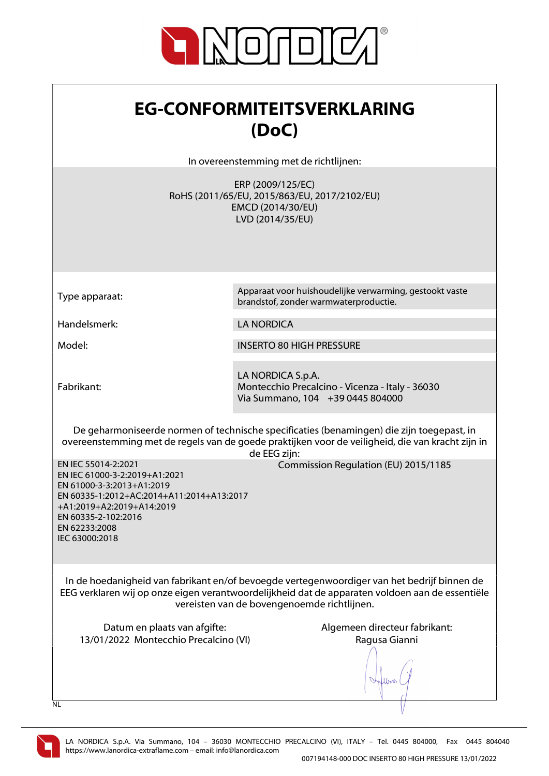

| <b>EG-CONFORMITEITSVERKLARING</b><br>(DoC)                                                                                                                                                                                                                    |                                                                                                                                                                                                               |
|---------------------------------------------------------------------------------------------------------------------------------------------------------------------------------------------------------------------------------------------------------------|---------------------------------------------------------------------------------------------------------------------------------------------------------------------------------------------------------------|
|                                                                                                                                                                                                                                                               | In overeenstemming met de richtlijnen:                                                                                                                                                                        |
|                                                                                                                                                                                                                                                               | ERP (2009/125/EC)<br>RoHS (2011/65/EU, 2015/863/EU, 2017/2102/EU)<br>EMCD (2014/30/EU)<br>LVD (2014/35/EU)                                                                                                    |
| Type apparaat:                                                                                                                                                                                                                                                | Apparaat voor huishoudelijke verwarming, gestookt vaste<br>brandstof, zonder warmwaterproductie.                                                                                                              |
| Handelsmerk:                                                                                                                                                                                                                                                  | <b>LA NORDICA</b>                                                                                                                                                                                             |
| Model:                                                                                                                                                                                                                                                        | <b>INSERTO 80 HIGH PRESSURE</b>                                                                                                                                                                               |
| Fabrikant:                                                                                                                                                                                                                                                    | LA NORDICA S.p.A.<br>Montecchio Precalcino - Vicenza - Italy - 36030<br>Via Summano, 104 +39 0445 804000                                                                                                      |
|                                                                                                                                                                                                                                                               | De geharmoniseerde normen of technische specificaties (benamingen) die zijn toegepast, in<br>overeenstemming met de regels van de goede praktijken voor de veiligheid, die van kracht zijn in<br>de EEG zijn: |
| EN IEC 55014-2:2021<br>Commission Regulation (EU) 2015/1185<br>EN IEC 61000-3-2:2019+A1:2021<br>EN 61000-3-3:2013+A1:2019<br>EN 60335-1:2012+AC:2014+A11:2014+A13:2017<br>+A1:2019+A2:2019+A14:2019<br>EN 60335-2-102:2016<br>EN 62233:2008<br>IEC 63000:2018 |                                                                                                                                                                                                               |
| In de hoedanigheid van fabrikant en/of bevoegde vertegenwoordiger van het bedrijf binnen de<br>EEG verklaren wij op onze eigen verantwoordelijkheid dat de apparaten voldoen aan de essentiële<br>vereisten van de bovengenoemde richtlijnen.                 |                                                                                                                                                                                                               |
| Datum en plaats van afgifte:<br>13/01/2022 Montecchio Precalcino (VI)                                                                                                                                                                                         | Algemeen directeur fabrikant:<br>Ragusa Gianni                                                                                                                                                                |
| <b>NL</b>                                                                                                                                                                                                                                                     |                                                                                                                                                                                                               |

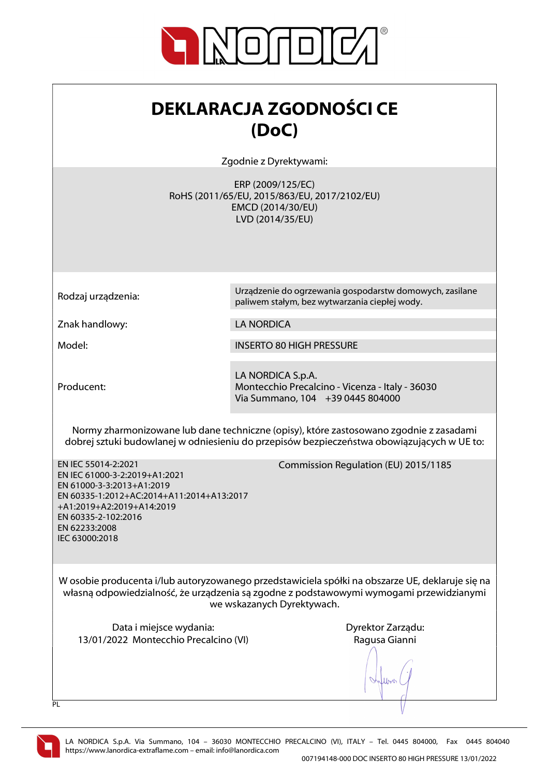

| <b>DEKLARACJA ZGODNOŚCI CE</b> |
|--------------------------------|
| (DoC)                          |

Zgodnie z Dyrektywami:

ERP (2009/125/EC) RoHS (2011/65/EU, 2015/863/EU, 2017/2102/EU) EMCD (2014/30/EU) LVD (2014/35/EU)

Rodzaj urządzenia: Urządzenie do ogrzewania gospodarstw domowych, zasilane

Znak handlowy: LA NORDICA

Model: INSERTO 80 HIGH PRESSURE

Producent:

LA NORDICA S.p.A. Montecchio Precalcino - Vicenza - Italy - 36030 Via Summano, 104 +39 0445 804000

paliwem stałym, bez wytwarzania ciepłej wody.

Normy zharmonizowane lub dane techniczne (opisy), które zastosowano zgodnie z zasadami dobrej sztuki budowlanej w odniesieniu do przepisów bezpieczeństwa obowiązujących w UE to:

EN IEC 55014-2:2021 EN IEC 61000-3-2:2019+A1:2021 EN 61000-3-3:2013+A1:2019 EN 60335-1:2012+AC:2014+A11:2014+A13:2017 +A1:2019+A2:2019+A14:2019 EN 60335-2-102:2016 EN 62233:2008 IEC 63000:2018

Commission Regulation (EU) 2015/1185

W osobie producenta i/lub autoryzowanego przedstawiciela spółki na obszarze UE, deklaruje się na własną odpowiedzialność, że urządzenia są zgodne z podstawowymi wymogami przewidzianymi we wskazanych Dyrektywach.

Data i miejsce wydania: Data i miejsce wydania: Dyrektor Zarządu: 13/01/2022 Montecchio Precalcino (VI) Ragusa Gianni

Juros.



 $\overline{PI}$